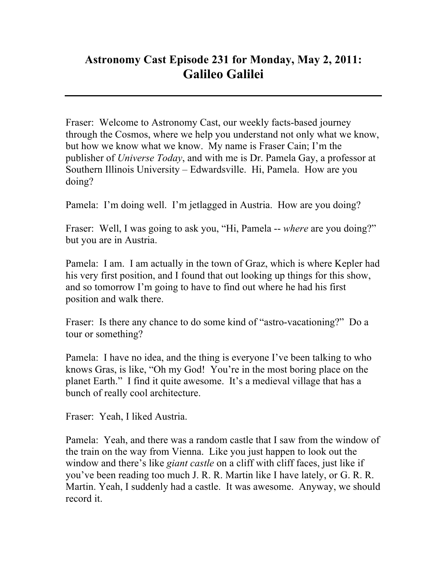## **Astronomy Cast Episode 231 for Monday, May 2, 2011: Galileo Galilei**

Fraser: Welcome to Astronomy Cast, our weekly facts-based journey through the Cosmos, where we help you understand not only what we know, but how we know what we know. My name is Fraser Cain; I'm the publisher of *Universe Today*, and with me is Dr. Pamela Gay, a professor at Southern Illinois University – Edwardsville. Hi, Pamela. How are you doing?

Pamela: I'm doing well. I'm jetlagged in Austria. How are you doing?

Fraser: Well, I was going to ask you, "Hi, Pamela -- *where* are you doing?" but you are in Austria.

Pamela: I am. I am actually in the town of Graz, which is where Kepler had his very first position, and I found that out looking up things for this show, and so tomorrow I'm going to have to find out where he had his first position and walk there.

Fraser: Is there any chance to do some kind of "astro-vacationing?" Do a tour or something?

Pamela: I have no idea, and the thing is everyone I've been talking to who knows Gras, is like, "Oh my God! You're in the most boring place on the planet Earth." I find it quite awesome. It's a medieval village that has a bunch of really cool architecture.

Fraser: Yeah, I liked Austria.

Pamela: Yeah, and there was a random castle that I saw from the window of the train on the way from Vienna. Like you just happen to look out the window and there's like *giant castle* on a cliff with cliff faces, just like if you've been reading too much J. R. R. Martin like I have lately, or G. R. R. Martin. Yeah, I suddenly had a castle. It was awesome. Anyway, we should record it.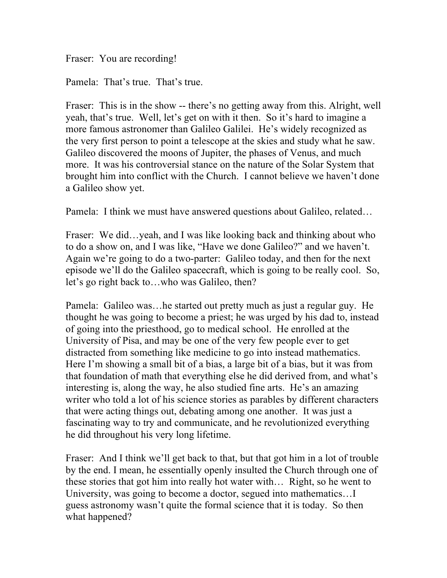Fraser: You are recording!

Pamela: That's true. That's true.

Fraser: This is in the show -- there's no getting away from this. Alright, well yeah, that's true. Well, let's get on with it then. So it's hard to imagine a more famous astronomer than Galileo Galilei. He's widely recognized as the very first person to point a telescope at the skies and study what he saw. Galileo discovered the moons of Jupiter, the phases of Venus, and much more. It was his controversial stance on the nature of the Solar System that brought him into conflict with the Church. I cannot believe we haven't done a Galileo show yet.

Pamela: I think we must have answered questions about Galileo, related…

Fraser: We did...yeah, and I was like looking back and thinking about who to do a show on, and I was like, "Have we done Galileo?" and we haven't. Again we're going to do a two-parter: Galileo today, and then for the next episode we'll do the Galileo spacecraft, which is going to be really cool. So, let's go right back to…who was Galileo, then?

Pamela: Galileo was…he started out pretty much as just a regular guy. He thought he was going to become a priest; he was urged by his dad to, instead of going into the priesthood, go to medical school. He enrolled at the University of Pisa, and may be one of the very few people ever to get distracted from something like medicine to go into instead mathematics. Here I'm showing a small bit of a bias, a large bit of a bias, but it was from that foundation of math that everything else he did derived from, and what's interesting is, along the way, he also studied fine arts. He's an amazing writer who told a lot of his science stories as parables by different characters that were acting things out, debating among one another. It was just a fascinating way to try and communicate, and he revolutionized everything he did throughout his very long lifetime.

Fraser: And I think we'll get back to that, but that got him in a lot of trouble by the end. I mean, he essentially openly insulted the Church through one of these stories that got him into really hot water with… Right, so he went to University, was going to become a doctor, segued into mathematics…I guess astronomy wasn't quite the formal science that it is today. So then what happened?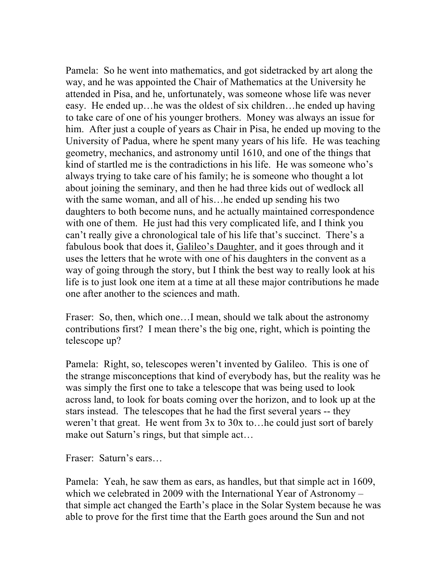Pamela: So he went into mathematics, and got sidetracked by art along the way, and he was appointed the Chair of Mathematics at the University he attended in Pisa, and he, unfortunately, was someone whose life was never easy. He ended up…he was the oldest of six children…he ended up having to take care of one of his younger brothers. Money was always an issue for him. After just a couple of years as Chair in Pisa, he ended up moving to the University of Padua, where he spent many years of his life. He was teaching geometry, mechanics, and astronomy until 1610, and one of the things that kind of startled me is the contradictions in his life. He was someone who's always trying to take care of his family; he is someone who thought a lot about joining the seminary, and then he had three kids out of wedlock all with the same woman, and all of his…he ended up sending his two daughters to both become nuns, and he actually maintained correspondence with one of them. He just had this very complicated life, and I think you can't really give a chronological tale of his life that's succinct. There's a fabulous book that does it, Galileo's Daughter, and it goes through and it uses the letters that he wrote with one of his daughters in the convent as a way of going through the story, but I think the best way to really look at his life is to just look one item at a time at all these major contributions he made one after another to the sciences and math.

Fraser: So, then, which one…I mean, should we talk about the astronomy contributions first? I mean there's the big one, right, which is pointing the telescope up?

Pamela: Right, so, telescopes weren't invented by Galileo. This is one of the strange misconceptions that kind of everybody has, but the reality was he was simply the first one to take a telescope that was being used to look across land, to look for boats coming over the horizon, and to look up at the stars instead. The telescopes that he had the first several years -- they weren't that great. He went from 3x to 30x to…he could just sort of barely make out Saturn's rings, but that simple act…

Fraser: Saturn's ears…

Pamela: Yeah, he saw them as ears, as handles, but that simple act in 1609, which we celebrated in 2009 with the International Year of Astronomy – that simple act changed the Earth's place in the Solar System because he was able to prove for the first time that the Earth goes around the Sun and not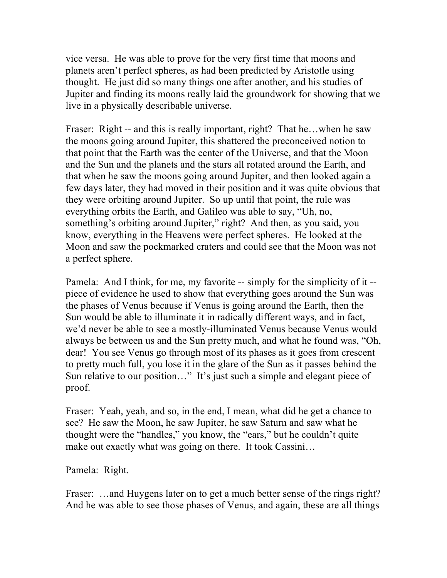vice versa. He was able to prove for the very first time that moons and planets aren't perfect spheres, as had been predicted by Aristotle using thought. He just did so many things one after another, and his studies of Jupiter and finding its moons really laid the groundwork for showing that we live in a physically describable universe.

Fraser: Right -- and this is really important, right? That he…when he saw the moons going around Jupiter, this shattered the preconceived notion to that point that the Earth was the center of the Universe, and that the Moon and the Sun and the planets and the stars all rotated around the Earth, and that when he saw the moons going around Jupiter, and then looked again a few days later, they had moved in their position and it was quite obvious that they were orbiting around Jupiter. So up until that point, the rule was everything orbits the Earth, and Galileo was able to say, "Uh, no, something's orbiting around Jupiter," right? And then, as you said, you know, everything in the Heavens were perfect spheres. He looked at the Moon and saw the pockmarked craters and could see that the Moon was not a perfect sphere.

Pamela: And I think, for me, my favorite -- simply for the simplicity of it -piece of evidence he used to show that everything goes around the Sun was the phases of Venus because if Venus is going around the Earth, then the Sun would be able to illuminate it in radically different ways, and in fact, we'd never be able to see a mostly-illuminated Venus because Venus would always be between us and the Sun pretty much, and what he found was, "Oh, dear! You see Venus go through most of its phases as it goes from crescent to pretty much full, you lose it in the glare of the Sun as it passes behind the Sun relative to our position…" It's just such a simple and elegant piece of proof.

Fraser: Yeah, yeah, and so, in the end, I mean, what did he get a chance to see? He saw the Moon, he saw Jupiter, he saw Saturn and saw what he thought were the "handles," you know, the "ears," but he couldn't quite make out exactly what was going on there. It took Cassini...

Pamela: Right.

Fraser: ...and Huygens later on to get a much better sense of the rings right? And he was able to see those phases of Venus, and again, these are all things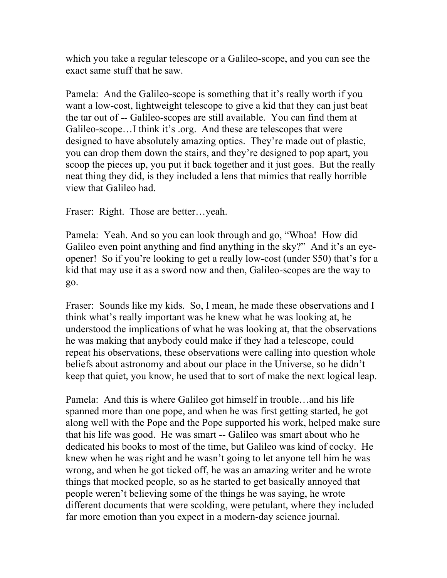which you take a regular telescope or a Galileo-scope, and you can see the exact same stuff that he saw.

Pamela: And the Galileo-scope is something that it's really worth if you want a low-cost, lightweight telescope to give a kid that they can just beat the tar out of -- Galileo-scopes are still available. You can find them at Galileo-scope…I think it's .org. And these are telescopes that were designed to have absolutely amazing optics. They're made out of plastic, you can drop them down the stairs, and they're designed to pop apart, you scoop the pieces up, you put it back together and it just goes. But the really neat thing they did, is they included a lens that mimics that really horrible view that Galileo had.

Fraser: Right. Those are better…yeah.

Pamela: Yeah. And so you can look through and go, "Whoa! How did Galileo even point anything and find anything in the sky?" And it's an eyeopener! So if you're looking to get a really low-cost (under \$50) that's for a kid that may use it as a sword now and then, Galileo-scopes are the way to go.

Fraser: Sounds like my kids. So, I mean, he made these observations and I think what's really important was he knew what he was looking at, he understood the implications of what he was looking at, that the observations he was making that anybody could make if they had a telescope, could repeat his observations, these observations were calling into question whole beliefs about astronomy and about our place in the Universe, so he didn't keep that quiet, you know, he used that to sort of make the next logical leap.

Pamela: And this is where Galileo got himself in trouble…and his life spanned more than one pope, and when he was first getting started, he got along well with the Pope and the Pope supported his work, helped make sure that his life was good. He was smart -- Galileo was smart about who he dedicated his books to most of the time, but Galileo was kind of cocky. He knew when he was right and he wasn't going to let anyone tell him he was wrong, and when he got ticked off, he was an amazing writer and he wrote things that mocked people, so as he started to get basically annoyed that people weren't believing some of the things he was saying, he wrote different documents that were scolding, were petulant, where they included far more emotion than you expect in a modern-day science journal.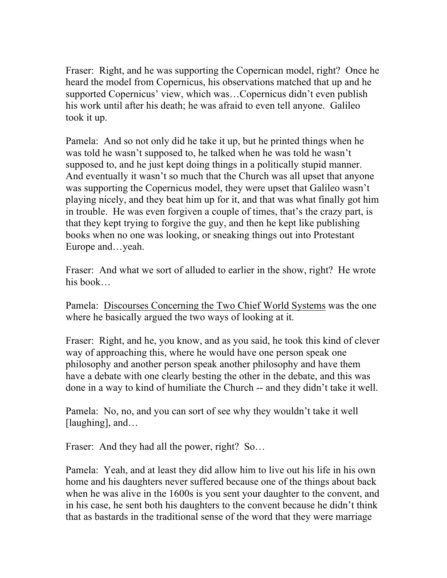Fraser: Right, and he was supporting the Copernican model, right? Once he heard the model from Copernicus, his observations matched that up and he supported Copernicus' view, which was…Copernicus didn't even publish his work until after his death; he was afraid to even tell anyone. Galileo took it up.

Pamela: And so not only did he take it up, but he printed things when he was told he wasn't supposed to, he talked when he was told he wasn't supposed to, and he just kept doing things in a politically stupid manner. And eventually it wasn't so much that the Church was all upset that anyone was supporting the Copernicus model, they were upset that Galileo wasn't playing nicely, and they beat him up for it, and that was what finally got him in trouble. He was even forgiven a couple of times, that's the crazy part, is that they kept trying to forgive the guy, and then he kept like publishing books when no one was looking, or sneaking things out into Protestant Europe and…yeah.

Fraser: And what we sort of alluded to earlier in the show, right? He wrote his book…

Pamela: Discourses Concerning the Two Chief World Systems was the one where he basically argued the two ways of looking at it.

Fraser: Right, and he, you know, and as you said, he took this kind of clever way of approaching this, where he would have one person speak one philosophy and another person speak another philosophy and have them have a debate with one clearly besting the other in the debate, and this was done in a way to kind of humiliate the Church -- and they didn't take it well.

Pamela: No, no, and you can sort of see why they wouldn't take it well [laughing], and...

Fraser: And they had all the power, right? So...

Pamela: Yeah, and at least they did allow him to live out his life in his own home and his daughters never suffered because one of the things about back when he was alive in the 1600s is you sent your daughter to the convent, and in his case, he sent both his daughters to the convent because he didn't think that as bastards in the traditional sense of the word that they were marriage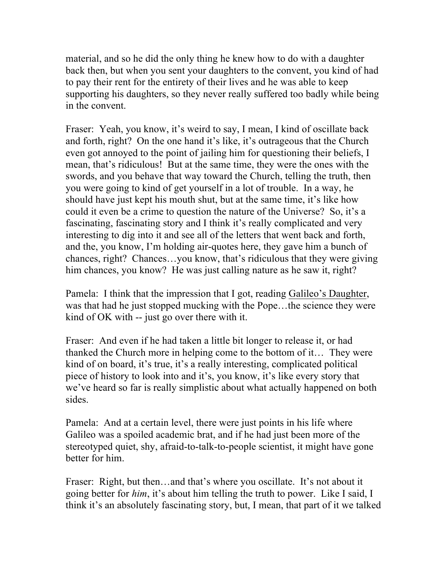material, and so he did the only thing he knew how to do with a daughter back then, but when you sent your daughters to the convent, you kind of had to pay their rent for the entirety of their lives and he was able to keep supporting his daughters, so they never really suffered too badly while being in the convent.

Fraser: Yeah, you know, it's weird to say, I mean, I kind of oscillate back and forth, right? On the one hand it's like, it's outrageous that the Church even got annoyed to the point of jailing him for questioning their beliefs, I mean, that's ridiculous! But at the same time, they were the ones with the swords, and you behave that way toward the Church, telling the truth, then you were going to kind of get yourself in a lot of trouble. In a way, he should have just kept his mouth shut, but at the same time, it's like how could it even be a crime to question the nature of the Universe? So, it's a fascinating, fascinating story and I think it's really complicated and very interesting to dig into it and see all of the letters that went back and forth, and the, you know, I'm holding air-quotes here, they gave him a bunch of chances, right? Chances…you know, that's ridiculous that they were giving him chances, you know? He was just calling nature as he saw it, right?

Pamela: I think that the impression that I got, reading Galileo's Daughter, was that had he just stopped mucking with the Pope…the science they were kind of OK with -- just go over there with it.

Fraser: And even if he had taken a little bit longer to release it, or had thanked the Church more in helping come to the bottom of it… They were kind of on board, it's true, it's a really interesting, complicated political piece of history to look into and it's, you know, it's like every story that we've heard so far is really simplistic about what actually happened on both sides.

Pamela: And at a certain level, there were just points in his life where Galileo was a spoiled academic brat, and if he had just been more of the stereotyped quiet, shy, afraid-to-talk-to-people scientist, it might have gone better for him.

Fraser: Right, but then...and that's where you oscillate. It's not about it going better for *him*, it's about him telling the truth to power. Like I said, I think it's an absolutely fascinating story, but, I mean, that part of it we talked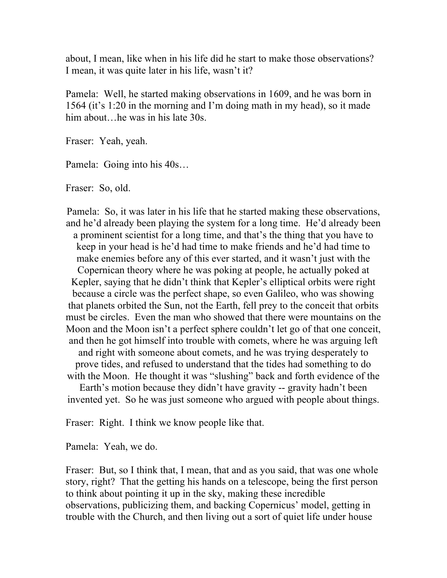about, I mean, like when in his life did he start to make those observations? I mean, it was quite later in his life, wasn't it?

Pamela: Well, he started making observations in 1609, and he was born in 1564 (it's 1:20 in the morning and I'm doing math in my head), so it made him about... he was in his late 30s.

Fraser: Yeah, yeah.

Pamela: Going into his 40s…

Fraser: So, old.

Pamela: So, it was later in his life that he started making these observations, and he'd already been playing the system for a long time. He'd already been a prominent scientist for a long time, and that's the thing that you have to keep in your head is he'd had time to make friends and he'd had time to make enemies before any of this ever started, and it wasn't just with the Copernican theory where he was poking at people, he actually poked at Kepler, saying that he didn't think that Kepler's elliptical orbits were right because a circle was the perfect shape, so even Galileo, who was showing that planets orbited the Sun, not the Earth, fell prey to the conceit that orbits must be circles. Even the man who showed that there were mountains on the Moon and the Moon isn't a perfect sphere couldn't let go of that one conceit, and then he got himself into trouble with comets, where he was arguing left and right with someone about comets, and he was trying desperately to prove tides, and refused to understand that the tides had something to do with the Moon. He thought it was "slushing" back and forth evidence of the Earth's motion because they didn't have gravity -- gravity hadn't been invented yet. So he was just someone who argued with people about things.

Fraser: Right. I think we know people like that.

Pamela: Yeah, we do.

Fraser: But, so I think that, I mean, that and as you said, that was one whole story, right? That the getting his hands on a telescope, being the first person to think about pointing it up in the sky, making these incredible observations, publicizing them, and backing Copernicus' model, getting in trouble with the Church, and then living out a sort of quiet life under house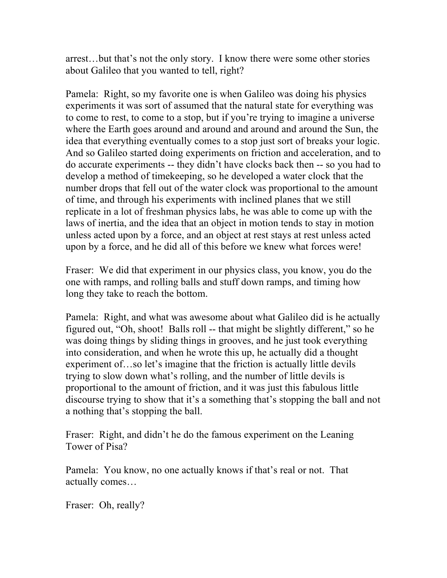arrest…but that's not the only story. I know there were some other stories about Galileo that you wanted to tell, right?

Pamela: Right, so my favorite one is when Galileo was doing his physics experiments it was sort of assumed that the natural state for everything was to come to rest, to come to a stop, but if you're trying to imagine a universe where the Earth goes around and around and around and around the Sun, the idea that everything eventually comes to a stop just sort of breaks your logic. And so Galileo started doing experiments on friction and acceleration, and to do accurate experiments -- they didn't have clocks back then -- so you had to develop a method of timekeeping, so he developed a water clock that the number drops that fell out of the water clock was proportional to the amount of time, and through his experiments with inclined planes that we still replicate in a lot of freshman physics labs, he was able to come up with the laws of inertia, and the idea that an object in motion tends to stay in motion unless acted upon by a force, and an object at rest stays at rest unless acted upon by a force, and he did all of this before we knew what forces were!

Fraser: We did that experiment in our physics class, you know, you do the one with ramps, and rolling balls and stuff down ramps, and timing how long they take to reach the bottom.

Pamela: Right, and what was awesome about what Galileo did is he actually figured out, "Oh, shoot! Balls roll -- that might be slightly different," so he was doing things by sliding things in grooves, and he just took everything into consideration, and when he wrote this up, he actually did a thought experiment of…so let's imagine that the friction is actually little devils trying to slow down what's rolling, and the number of little devils is proportional to the amount of friction, and it was just this fabulous little discourse trying to show that it's a something that's stopping the ball and not a nothing that's stopping the ball.

Fraser: Right, and didn't he do the famous experiment on the Leaning Tower of Pisa?

Pamela: You know, no one actually knows if that's real or not. That actually comes…

Fraser: Oh, really?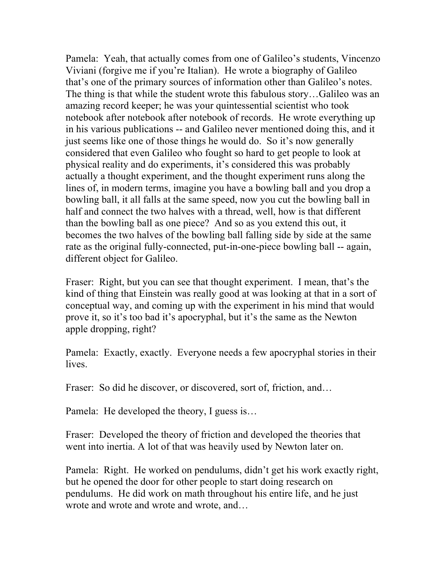Pamela: Yeah, that actually comes from one of Galileo's students, Vincenzo Viviani (forgive me if you're Italian). He wrote a biography of Galileo that's one of the primary sources of information other than Galileo's notes. The thing is that while the student wrote this fabulous story…Galileo was an amazing record keeper; he was your quintessential scientist who took notebook after notebook after notebook of records. He wrote everything up in his various publications -- and Galileo never mentioned doing this, and it just seems like one of those things he would do. So it's now generally considered that even Galileo who fought so hard to get people to look at physical reality and do experiments, it's considered this was probably actually a thought experiment, and the thought experiment runs along the lines of, in modern terms, imagine you have a bowling ball and you drop a bowling ball, it all falls at the same speed, now you cut the bowling ball in half and connect the two halves with a thread, well, how is that different than the bowling ball as one piece? And so as you extend this out, it becomes the two halves of the bowling ball falling side by side at the same rate as the original fully-connected, put-in-one-piece bowling ball -- again, different object for Galileo.

Fraser: Right, but you can see that thought experiment. I mean, that's the kind of thing that Einstein was really good at was looking at that in a sort of conceptual way, and coming up with the experiment in his mind that would prove it, so it's too bad it's apocryphal, but it's the same as the Newton apple dropping, right?

Pamela: Exactly, exactly. Everyone needs a few apocryphal stories in their **lives** 

Fraser: So did he discover, or discovered, sort of, friction, and...

Pamela: He developed the theory, I guess is…

Fraser: Developed the theory of friction and developed the theories that went into inertia. A lot of that was heavily used by Newton later on.

Pamela: Right. He worked on pendulums, didn't get his work exactly right, but he opened the door for other people to start doing research on pendulums. He did work on math throughout his entire life, and he just wrote and wrote and wrote and wrote, and…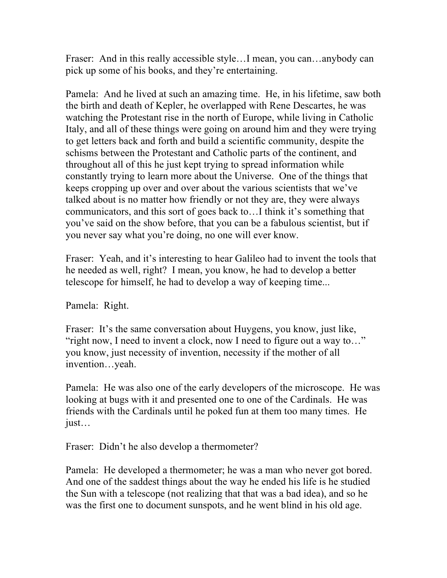Fraser: And in this really accessible style…I mean, you can…anybody can pick up some of his books, and they're entertaining.

Pamela: And he lived at such an amazing time. He, in his lifetime, saw both the birth and death of Kepler, he overlapped with Rene Descartes, he was watching the Protestant rise in the north of Europe, while living in Catholic Italy, and all of these things were going on around him and they were trying to get letters back and forth and build a scientific community, despite the schisms between the Protestant and Catholic parts of the continent, and throughout all of this he just kept trying to spread information while constantly trying to learn more about the Universe. One of the things that keeps cropping up over and over about the various scientists that we've talked about is no matter how friendly or not they are, they were always communicators, and this sort of goes back to…I think it's something that you've said on the show before, that you can be a fabulous scientist, but if you never say what you're doing, no one will ever know.

Fraser: Yeah, and it's interesting to hear Galileo had to invent the tools that he needed as well, right? I mean, you know, he had to develop a better telescope for himself, he had to develop a way of keeping time...

Pamela: Right.

Fraser: It's the same conversation about Huygens, you know, just like, "right now, I need to invent a clock, now I need to figure out a way to…" you know, just necessity of invention, necessity if the mother of all invention…yeah.

Pamela: He was also one of the early developers of the microscope. He was looking at bugs with it and presented one to one of the Cardinals. He was friends with the Cardinals until he poked fun at them too many times. He just…

Fraser: Didn't he also develop a thermometer?

Pamela: He developed a thermometer; he was a man who never got bored. And one of the saddest things about the way he ended his life is he studied the Sun with a telescope (not realizing that that was a bad idea), and so he was the first one to document sunspots, and he went blind in his old age.